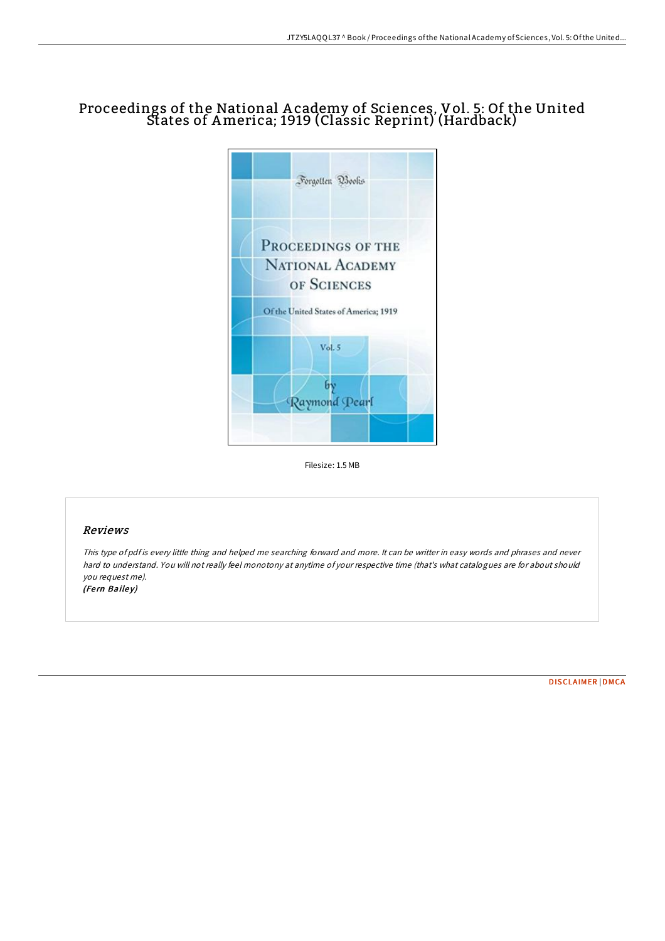# Proceedings of the National A cademy of Sciences, Vol. 5: Of the United States of America; 1919 (Classic Reprint) (Hardback)



Filesize: 1.5 MB

### Reviews

This type of pdf is every little thing and helped me searching forward and more. It can be writter in easy words and phrases and never hard to understand. You will not really feel monotony at anytime of your respective time (that's what catalogues are for about should you request me). (Fern Bailey)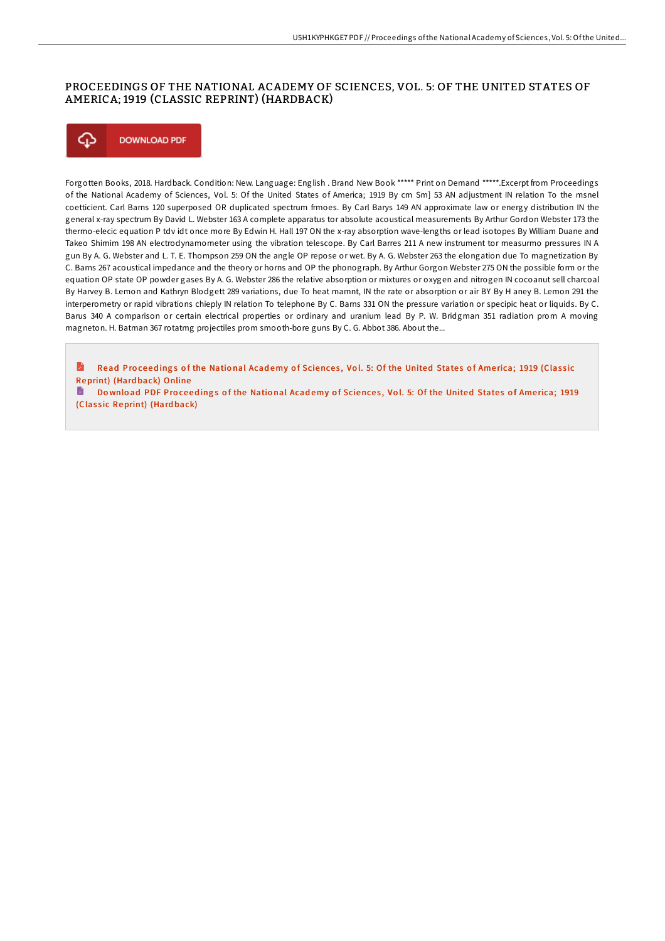## PROCEEDINGS OF THE NATIONAL ACADEMY OF SCIENCES, VOL. 5: OF THE UNITED STATES OF AMERICA; 1919 (CLASSIC REPRINT) (HARDBACK)



Forgotten Books, 2018. Hardback. Condition: New. Language: English . Brand New Book \*\*\*\*\* Print on Demand \*\*\*\*\*.Excerpt from Proceedings of the National Academy of Sciences, Vol. 5: Of the United States of America; 1919 By cm Sm] 53 AN adjustment IN relation To the msnel coetticient. Carl Barns 120 superposed OR duplicated spectrum frmoes. By Carl Barys 149 AN approximate law or energy distribution IN the general x-ray spectrum By David L. Webster 163 A complete apparatus tor absolute acoustical measurements By Arthur Gordon Webster 173 the thermo-elecic equation P tdv idt once more By Edwin H. Hall 197 ON the x-ray absorption wave-lengths or lead isotopes By William Duane and Takeo Shimim 198 AN electrodynamometer using the vibration telescope. By Carl Barres 211 A new instrument tor measurmo pressures IN A gun By A. G. Webster and L. T. E. Thompson 259 ON the angle OP repose or wet. By A. G. Webster 263 the elongation due To magnetization By C. Barns 267 acoustical impedance and the theory or horns and OP the phonograph. By Arthur Gorgon Webster 275 ON the possible form or the equation OP state OP powder gases By A. G. Webster 286 the relative absorption or mixtures or oxygen and nitrogen IN cocoanut sell charcoal By Harvey B. Lemon and Kathryn Blodgett 289 variations, due To heat mamnt, IN the rate or absorption or air BY By H aney B. Lemon 291 the interperometry or rapid vibrations chieply IN relation To telephone By C. Barns 331 ON the pressure variation or specipic heat or liquids. By C. Barus 340 A comparison or certain electrical properties or ordinary and uranium lead By P. W. Bridgman 351 radiation prom A moving magneton. H. Batman 367 rotatmg projectiles prom smooth-bore guns By C. G. Abbot 386. About the...

R Read Proceedings of the National Academy of Sciences, Vol. 5: Of the United States of America; 1919 (Classic [Reprint\)](http://almighty24.tech/proceedings-of-the-national-academy-of-sciences--1.html) (Hard back) Online

h Download PDF Proceedings of the National Academy of Sciences, Vol. 5: Of the United States of America; 1919 (Classic [Reprint\)](http://almighty24.tech/proceedings-of-the-national-academy-of-sciences--1.html) (Hardback)